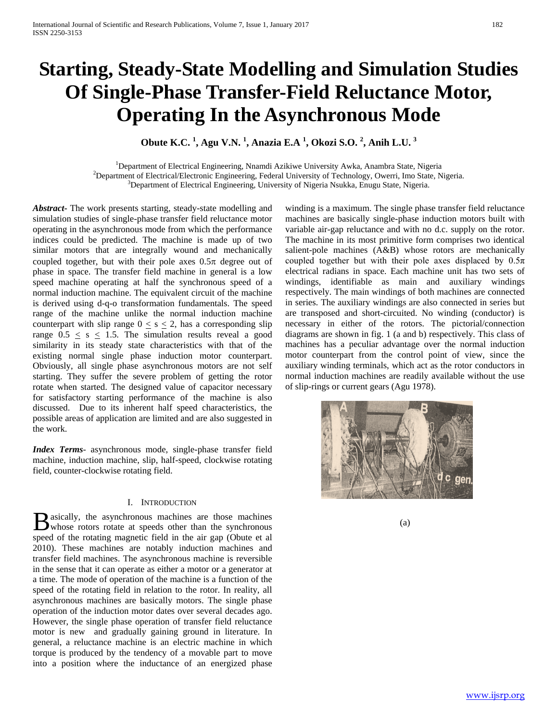# **Starting, Steady-State Modelling and Simulation Studies Of Single-Phase Transfer-Field Reluctance Motor, Operating In the Asynchronous Mode**

**Obute K.C. <sup>1</sup> , Agu V.N. <sup>1</sup> , Anazia E.A <sup>1</sup> , Okozi S.O. <sup>2</sup> , Anih L.U. 3**

<sup>1</sup>Department of Electrical Engineering, Nnamdi Azikiwe University Awka, Anambra State, Nigeria <sup>2</sup>Department of Electrical/Electronic Engineering, Eederal University of Technology, Querri, Imp. State, N <sup>2</sup>Department of Electrical/Electronic Engineering, Federal University of Technology, Owerri, Imo State, Nigeria. <sup>3</sup>Department of Electrical Engineering, University of Nigeria Nsukka, Enugu State, Nigeria.

*Abstract***-** The work presents starting, steady-state modelling and simulation studies of single-phase transfer field reluctance motor operating in the asynchronous mode from which the performance indices could be predicted. The machine is made up of two similar motors that are integrally wound and mechanically coupled together, but with their pole axes  $0.5\pi$  degree out of phase in space. The transfer field machine in general is a low speed machine operating at half the synchronous speed of a normal induction machine. The equivalent circuit of the machine is derived using d-q-o transformation fundamentals. The speed range of the machine unlike the normal induction machine counterpart with slip range  $0 \leq s \leq 2$ , has a corresponding slip range  $0.5 \leq s \leq 1.5$ . The simulation results reveal a good similarity in its steady state characteristics with that of the existing normal single phase induction motor counterpart. Obviously, all single phase asynchronous motors are not self starting. They suffer the severe problem of getting the rotor rotate when started. The designed value of capacitor necessary for satisfactory starting performance of the machine is also discussed. Due to its inherent half speed characteristics, the possible areas of application are limited and are also suggested in the work.

*Index Terms*- asynchronous mode, single-phase transfer field machine, induction machine, slip, half-speed, clockwise rotating field, counter-clockwise rotating field.

# I. INTRODUCTION

asically, the asynchronous machines are those machines  $\mathbf{B}$  asically, the asynchronous machines are those machines (a) whose rotors rotate at speeds other than the synchronous (a) speed of the rotating magnetic field in the air gap (Obute et al 2010). These machines are notably induction machines and transfer field machines. The asynchronous machine is reversible in the sense that it can operate as either a motor or a generator at a time. The mode of operation of the machine is a function of the speed of the rotating field in relation to the rotor. In reality, all asynchronous machines are basically motors. The single phase operation of the induction motor dates over several decades ago. However, the single phase operation of transfer field reluctance motor is new and gradually gaining ground in literature. In general, a reluctance machine is an electric machine in which torque is produced by the tendency of a movable part to move into a position where the inductance of an energized phase

winding is a maximum. The single phase transfer field reluctance machines are basically single-phase induction motors built with variable air-gap reluctance and with no d.c. supply on the rotor. The machine in its most primitive form comprises two identical salient-pole machines (A&B) whose rotors are mechanically coupled together but with their pole axes displaced by  $0.5\pi$ electrical radians in space. Each machine unit has two sets of windings, identifiable as main and auxiliary windings respectively. The main windings of both machines are connected in series. The auxiliary windings are also connected in series but are transposed and short-circuited. No winding (conductor) is necessary in either of the rotors. The pictorial/connection diagrams are shown in fig. 1 (a and b) respectively. This class of machines has a peculiar advantage over the normal induction motor counterpart from the control point of view, since the auxiliary winding terminals, which act as the rotor conductors in normal induction machines are readily available without the use of slip-rings or current gears (Agu 1978).

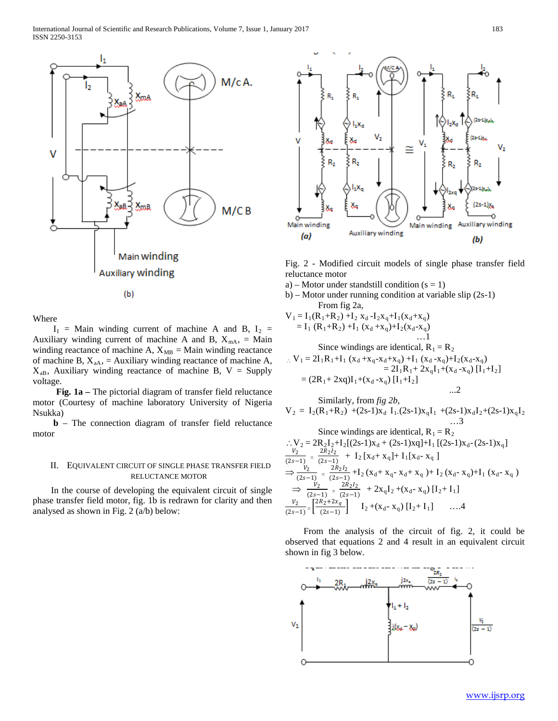

Where

 $I_1$  = Main winding current of machine A and B,  $I_2$  = Auxiliary winding current of machine A and B,  $X_{mA}$ , = Main winding reactance of machine A,  $X_{MB} =$  Main winding reactance of machine B,  $X_{aA}$ , = Auxiliary winding reactance of machine A,  $X_{aB}$ , Auxiliary winding reactance of machine B, V = Supply voltage.

 **Fig. 1a –** The pictorial diagram of transfer field reluctance motor (Courtesy of machine laboratory University of Nigeria Nsukka)

 **b** – The connection diagram of transfer field reluctance motor

# II. EQUIVALENT CIRCUIT OF SINGLE PHASE TRANSFER FIELD RELUCTANCE MOTOR

 In the course of developing the equivalent circuit of single phase transfer field motor, fig. 1b is redrawn for clarity and then analysed as shown in Fig. 2 (a/b) below:



Fig. 2 - Modified circuit models of single phase transfer field reluctance motor

- a) Motor under standstill condition  $(s = 1)$
- b) Motor under running condition at variable slip (2s-1) From fig 2a*,*

$$
V_1 = I_1(R_1+R_2) + I_2 x_d - I_2x_q + I_1(x_d+x_q)
$$
  
= I\_1 (R\_1+R\_2) + I\_1 (x\_d+x\_q)+I\_2(x\_d-x\_q)  
... 1  
Since windings are identical, R<sub>1</sub> = R<sub>2</sub>  

$$
\therefore V_1 = 2I_1R_1+I_1 (x_d+x_q-x_d+x_q) +I_1 (x_d-x_q)+I_2(x_d-x_q)
$$
  
= 
$$
2I_1R_1 + 2x_qI_1 + (x_d-x_q) [I_1+I_2]
$$
  
= 
$$
(2R_1 + 2xq)I_1 + (x_d-x_q) [I_1+I_2]
$$
...2

Similarly, from *fig 2b*,  
\n
$$
V_2 = I_2(R_1+R_2) + (2s-1)x_d I_1.(2s-1)x_qI_1 + (2s-1)x_d I_2 + (2s-1)x_qI_2
$$
\n...3

Since windings are identical, R<sub>1</sub> = R<sub>2</sub>  
\n
$$
\therefore V_2 = 2R_2I_2 + I_2[(2s-1)x_d + (2s-1)xq] + I_1 [(2s-1)x_d - (2s-1)x_q]
$$
\n
$$
\frac{V_2}{(2s-1)} = \frac{2R_2I_2}{(2s-1)} + I_2 [x_d + x_q] + I_1[x_d - x_q]
$$
\n
$$
\Rightarrow \frac{V_2}{(2s-1)} = \frac{2R_2I_2}{(2s-1)} + I_2 (x_d + x_q - x_d + x_q) + I_2 (x_d - x_q) + I_1 (x_d - x_q)
$$
\n
$$
\Rightarrow \frac{V_2}{(2s-1)} = \frac{2R_2I_2}{(2s-1)} + 2x_qI_2 + (x_d - x_q) [I_2 + I_1]
$$
\n
$$
\frac{V_2}{(2s-1)} = \left[\frac{2R_2 + 2x_q}{(2s-1)}\right] I_2 + (x_d - x_q) [I_2 + I_1] \qquad \dots.4
$$

 From the analysis of the circuit of fig. 2, it could be observed that equations 2 and 4 result in an equivalent circuit shown in fig 3 below.

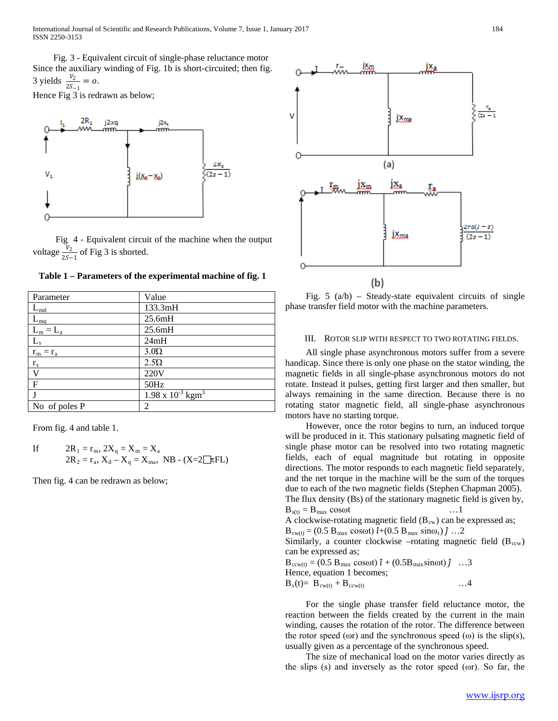Fig. 3 - Equivalent circuit of single-phase reluctance motor Since the auxiliary winding of Fig. 1b is short-circuited; then fig. 3 yields  $\frac{v_2}{2S-1} = 0$ .

Hence Fig 3 is redrawn as below;



 Fig 4 - Equivalent circuit of the machine when the output voltage  $\frac{V_2}{2S-1}$  of Fig 3 is shorted.

**Table 1 – Parameters of the experimental machine of fig. 1**

| Parameter            | Value                                  |
|----------------------|----------------------------------------|
| $L_{\underline{md}}$ | 133.3mH                                |
| $L_{mq}$             | 25.6mH                                 |
| $L_m = L_a$          | 25.6mH                                 |
| $L_{\rm s}$          | 24mH                                   |
| $r_m = r_a$          | $3.0\Omega$                            |
| $r_{\rm s}$          | $2.5\Omega$                            |
| V                    | 220V                                   |
| F                    | 50Hz                                   |
| J                    | $1.98 \times 10^{-3}$ kgm <sup>3</sup> |
| No of poles P        | 2                                      |

From fig. 4 and table 1.

If 
$$
2R_1 = r_m
$$
,  $2X_q = X_m = X_a$   
 $2R_2 = r_a$ ,  $X_d - X_q = X_{ma}$ , NB - (X=2~~1~~ $\tau$ FL)

Then fig. 4 can be redrawn as below;



Fig.  $5 \text{ (a/b)}$  – Steady-state equivalent circuits of single phase transfer field motor with the machine parameters.

#### III. ROTOR SLIP WITH RESPECT TO TWO ROTATING FIELDS.

 All single phase asynchronous motors suffer from a severe handicap. Since there is only one phase on the stator winding, the magnetic fields in all single-phase asynchronous motors do not rotate. Instead it pulses, getting first larger and then smaller, but always remaining in the same direction. Because there is no rotating stator magnetic field, all single-phase asynchronous motors have no starting torque.

 However, once the rotor begins to turn, an induced torque will be produced in it. This stationary pulsating magnetic field of single phase motor can be resolved into two rotating magnetic fields, each of equal magnitude but rotating in opposite directions. The motor responds to each magnetic field separately, and the net torque in the machine will be the sum of the torques due to each of the two magnetic fields (Stephen Chapman 2005).

The flux density (Bs) of the stationary magnetic field is given by,  $B_{s(t)} = B_{\text{max}} \cos \omega t$  …1

A clockwise-rotating magnetic field  $(B<sub>cw</sub>)$  can be expressed as;

 $B_{\text{cw}(t)} = (0.5 \text{ B}_{\text{max}} \cos \omega t) \hat{i} + (0.5 \text{ B}_{\text{max}} \sin \omega_t) \hat{j} ... 2$ 

Similarly, a counter clockwise –rotating magnetic field  $(B_{ccw})$ can be expressed as;

 $B_{ccw(t)} = (0.5 B_{max} \cos\omega t) \hat{i} + (0.5 B_{max} \sin\omega t) \hat{j} \dots$ 3 Hence, equation 1 becomes;  $B_s(t) = B_{c w(t)} + B_{c w(t)}$  …4

 For the single phase transfer field reluctance motor, the reaction between the fields created by the current in the main winding, causes the rotation of the rotor. The difference between the rotor speed ( $\omega$ r) and the synchronous speed ( $\omega$ ) is the slip(s), usually given as a percentage of the synchronous speed.

 The size of mechanical load on the motor varies directly as the slips (s) and inversely as the rotor speed (ωr). So far, the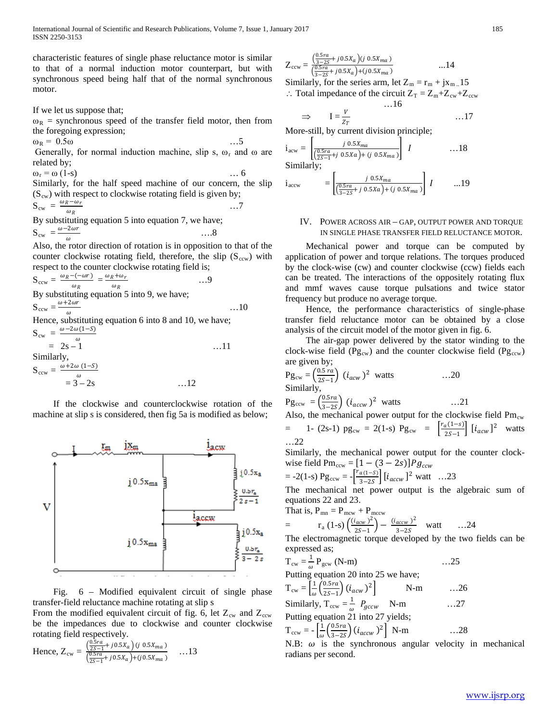characteristic features of single phase reluctance motor is similar to that of a normal induction motor counterpart, but with synchronous speed being half that of the normal synchronous motor.

If we let us suppose that;

 $\omega_R$  = synchronous speed of the transfer field motor, then from the foregoing expression;

 $\omega_R = 0.5\omega$  ....5 Generally, for normal induction machine, slip s,  $\omega_r$  and  $\omega$  are related by;

 $\omega_r = \omega (1-s)$  … 6 Similarly, for the half speed machine of our concern, the slip  $(S<sub>cw</sub>)$  with respect to clockwise rotating field is given by;

$$
S_{cw} = \frac{\omega_R - \omega_r}{\omega_R}
$$
...7  
By substituting equation 5 into equation 7, we have:

By substituting equation 5 into equation 7, we have;  $S_{cw} = \frac{\omega - 2\omega r}{\omega}$  $\frac{2\omega}{\omega}$  ....8

Also, the rotor direction of rotation is in opposition to that of the counter clockwise rotating field, therefore, the slip  $(S<sub>ccw</sub>)$  with respect to the counter clockwise rotating field is;

$$
S_{ccw} = \frac{\omega_R - (-\omega r)}{\omega_R} = \frac{\omega_R + \omega_r}{\omega_R}
$$
 ...9  
\nBy substituting equation 5 into 9, we have;  
\n
$$
S_{ccw} = \frac{\omega + 2\omega r}{\omega}
$$
 ...10  
\nHence, substituting equation 6 into 8 and 10, we have;  
\n
$$
S_{cw} = \frac{\omega - 2\omega (1 - S)}{\omega}
$$
 ...11  
\n= 2s - 1

Similarly,  
\n
$$
S_{ccw} = \frac{\omega + 2\omega (1-S)}{\omega}
$$
\n
$$
= 3 - 2s \qquad \qquad \dots 12
$$

 If the clockwise and counterclockwise rotation of the machine at slip s is considered, then fig 5a is modified as below;



 Fig. 6 – Modified equivalent circuit of single phase transfer-field reluctance machine rotating at slip s

From the modified equivalent circuit of fig. 6, let  $Z_{cw}$  and  $Z_{ccw}$ be the impedances due to clockwise and counter clockwise rotating field respectively.

Hence, 
$$
Z_{cw} = \frac{\left(\frac{0.5ra}{25-1} + j0.5X_a\right) (j \ 0.5X_{ma})}{\left(\frac{0.5ra}{25-1} + j0.5X_a\right) + (j \ 0.5X_{ma})}
$$
 ...13

$$
Z_{ccw} = \frac{\left(\frac{0.5ra}{3-2s} + j0.5X_a\right)(j\ 0.5X_{ma})}{\left(\frac{0.5ra}{3-2s} + j0.5X_a\right) + (j0.5X_{ma})}
$$

Similarly, for the series arm, let  $Z_m = r_m + jx_{m}$ . 15 ∴ Total impedance of the circuit  $Z_T = Z_m + Z_{cw} + Z_{ccw}$ 

…16

$$
\Rightarrow I = \frac{V}{z_T} \qquad \qquad \dots 17
$$

 $\frac{z_T}{z_T}$  More-still, by current division principle;

$$
\mathbf{i}_{\text{acw}} = \left[ \frac{j \ 0.5X_{ma}}{\left( \frac{0.5ra}{2S - 1} + j \ 0.5Xa \right) + (j \ 0.5X_{ma})} \right] \ I \qquad \qquad \dots 18
$$
  
Similarly;

$$
i_{\text{accw}} = \left[ \frac{j \ 0.5X_{ma}}{\left( \frac{0.5ra}{3 - 2S} + j \ 0.5Xa \right) + (j \ 0.5X_{ma})} \right] I \qquad \dots 19
$$

### IV. POWER ACROSS AIR – GAP, OUTPUT POWER AND TORQUE IN SINGLE PHASE TRANSFER FIELD RELUCTANCE MOTOR.

 Mechanical power and torque can be computed by application of power and torque relations. The torques produced by the clock-wise (cw) and counter clockwise (ccw) fields each can be treated. The interactions of the oppositely rotating flux and mmf waves cause torque pulsations and twice stator frequency but produce no average torque.

 Hence, the performance characteristics of single-phase transfer field reluctance motor can be obtained by a close analysis of the circuit model of the motor given in fig. 6.

 The air-gap power delivered by the stator winding to the clock-wise field ( $Pg_{cw}$ ) and the counter clockwise field ( $Pg_{ccw}$ ) are given by;

$$
Pg_{cw} = \left(\frac{0.5\pi a}{2S-1}\right) (i_{acw})^2
$$
 watts ....20  
Similarly,  

$$
Pg_{ccw} = \left(\frac{0.5\pi a}{3-2S}\right) (i_{accw})^2
$$
 watts ....21  
Also, the mechanical power output for the clockwise field Pm<sub>cw</sub>  
= 1- (2s-1) pg<sub>cw</sub> = 2(1-s) Pg<sub>cw</sub> =  $\left[\frac{r_a(1-s)}{2S-1}\right] [i_{acw}]^2$  watts  
...22

Similarly, the mechanical power output for the counter clockwise field  $Pm_{ccw} = [1 - (3 - 2s)]Pg_{ccw}$ 

$$
= -2(1-s) \text{Pg}_{ccw} = -\left[\frac{r_{a(1-s)}}{3-2s}\right] [i_{accw}]^{2} \text{ watt} \dots 23
$$

The mechanical net power output is the algebraic sum of equations 22 and 23.

That is, 
$$
P_{mn} = P_{mcw} + P_{mccw}
$$

$$
= \t r_a (1-s) \left( \frac{(i_{acw})^2}{2S-1} \right) - \frac{(i_{accw})^2}{3-2S} \t watt \t ... 24
$$

The electromagnetic torque developed by the two fields can be expressed as;

$$
T_{cw} = \frac{1}{\omega} P_{gcw} (N-m) \qquad \qquad \dots 25
$$

Putting equation 20 into 25 we have;

$$
T_{cw} = \left[\frac{1}{\omega} \left(\frac{0.5ra}{2s-1}\right) (i_{acw})^2\right]
$$
 N-m ...26  
\nSimilarly,  $T_{ccw} = \frac{1}{\omega} P_{gccw}$  N-m ...27  
\nPutting equation 21 into 27 yields;  
\n $T_{ccw} = -\left[\frac{1}{\omega} \left(\frac{0.5ra}{3-2s}\right) (i_{accw})^2\right]$  N-m ...28

N.B:  $\omega$  is the synchronous angular velocity in mechanical radians per second.

...14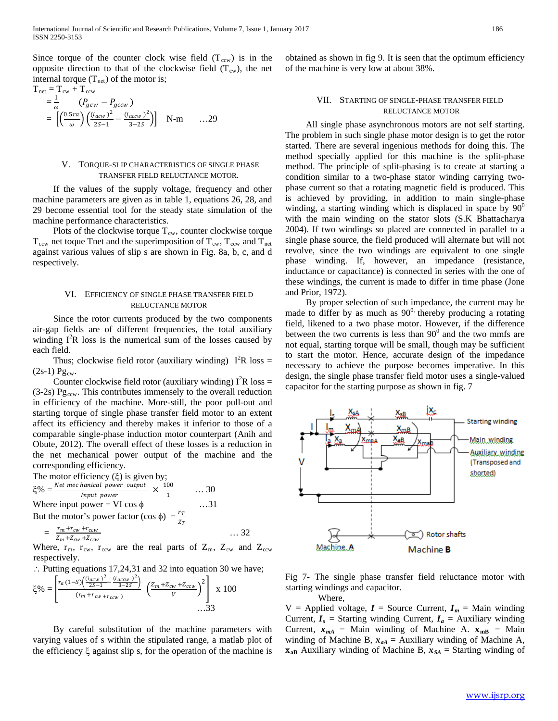Since torque of the counter clock wise field  $(T_{ccw})$  is in the opposite direction to that of the clockwise field  $(T_{\text{cw}})$ , the net internal torque  $(T_{net})$  of the motor is;

$$
T_{\text{net}} = T_{\text{cw}} + T_{\text{ccw}} = \frac{1}{\omega} \left( P_{g\text{cw}} - P_{g\text{ccw}} \right) = \left[ \left( \frac{0.5ra}{\omega} \right) \left( \frac{(i_{acw})^2}{25-1} - \frac{(i_{accw})^2}{3-25} \right) \right] \quad \text{N-m} \qquad ...29
$$

### V. TORQUE-SLIP CHARACTERISTICS OF SINGLE PHASE TRANSFER FIELD RELUCTANCE MOTOR.

 If the values of the supply voltage, frequency and other machine parameters are given as in table 1, equations 26, 28, and 29 become essential tool for the steady state simulation of the machine performance characteristics.

Plots of the clockwise torque  $T_{cw}$ , counter clockwise torque  $T_{\text{ccw}}$  net toque Tnet and the superimposition of  $T_{\text{cw}}$ ,  $T_{\text{ccw}}$  and  $T_{\text{net}}$ against various values of slip s are shown in Fig. 8a, b, c, and d respectively.

### VI. EFFICIENCY OF SINGLE PHASE TRANSFER FIELD RELUCTANCE MOTOR

 Since the rotor currents produced by the two components air-gap fields are of different frequencies, the total auxiliary winding  $I^2R$  loss is the numerical sum of the losses caused by each field.

Thus; clockwise field rotor (auxiliary winding)  $I^{2}R$  loss =  $(2s-1)$  Pg<sub>cw</sub>.

Counter clockwise field rotor (auxiliary winding)  $I^2R$  loss =  $(3-2s)$  Pg<sub>ccw</sub>. This contributes immensely to the overall reduction in efficiency of the machine. More-still, the poor pull-out and starting torque of single phase transfer field motor to an extent affect its efficiency and thereby makes it inferior to those of a comparable single-phase induction motor counterpart (Anih and Obute, 2012). The overall effect of these losses is a reduction in the net mechanical power output of the machine and the corresponding efficiency.

The motor efficiency (ξ) is given by;

ξ% = <sup>ℎ</sup> × 100  $\ldots$  30<br> $\ldots$ 31 Where input power = VI cos  $\phi$ 

But the motor's power factor (cos  $\phi$ ) =  $\frac{r_T}{Z_T}$ 

$$
= \frac{r_m + r_{cw} + r_{ccw}}{z_m + z_{cw} + z_{ccw}}
$$
 ... 32

Where,  $r_m$ ,  $r_{cw}$ ,  $r_{ccw}$  are the real parts of  $Z_m$ ,  $Z_{cw}$  and  $Z_{ccw}$ respectively.

∴ Putting equations 17,24,31 and 32 into equation 30 we have;  $\blacksquare$ 

$$
\xi\% = \left[\frac{r_a(1-S)\left(\frac{(i_{acw})^2}{2S-1} - \frac{(i_{accw})^2}{3-2S}\right)}{(r_m + r_{cw} + r_{cw})}\right] \left(\frac{z_m + z_{cw} + z_{ccw}}{V}\right)^2\right] \times 100
$$
...33

 By careful substitution of the machine parameters with varying values of s within the stipulated range, a matlab plot of the efficiency ξ against slip s, for the operation of the machine is

obtained as shown in fig 9. It is seen that the optimum efficiency of the machine is very low at about 38%.

### VII. STARTING OF SINGLE-PHASE TRANSFER FIELD RELUCTANCE MOTOR

 All single phase asynchronous motors are not self starting. The problem in such single phase motor design is to get the rotor started. There are several ingenious methods for doing this. The method specially applied for this machine is the split-phase method. The principle of split-phasing is to create at starting a condition similar to a two-phase stator winding carrying twophase current so that a rotating magnetic field is produced. This is achieved by providing, in addition to main single-phase winding, a starting winding which is displaced in space by  $90^{\circ}$ with the main winding on the stator slots (S.K Bhattacharya 2004). If two windings so placed are connected in parallel to a single phase source, the field produced will alternate but will not revolve, since the two windings are equivalent to one single phase winding. If, however, an impedance (resistance, inductance or capacitance) is connected in series with the one of these windings, the current is made to differ in time phase (Jone and Prior, 1972).

 By proper selection of such impedance, the current may be made to differ by as much as  $90^0$ , thereby producing a rotating field, likened to a two phase motor. However, if the difference between the two currents is less than  $90^{\circ}$  and the two mmfs are not equal, starting torque will be small, though may be sufficient to start the motor. Hence, accurate design of the impedance necessary to achieve the purpose becomes imperative. In this design, the single phase transfer field motor uses a single-valued capacitor for the starting purpose as shown in fig. 7



Fig 7- The single phase transfer field reluctance motor with starting windings and capacitor.

Where,

 $V =$  Applied voltage,  $I =$  Source Current,  $I_m =$  Main winding Current,  $I_s$  = Starting winding Current,  $I_a$  = Auxiliary winding Current,  $x_{mA}$  = Main winding of Machine A.  $x_{mB}$  = Main winding of Machine B,  $x_{aA}$  = Auxiliary winding of Machine A,  $x_{aB}$  Auxiliary winding of Machine B,  $x_{SA}$  = Starting winding of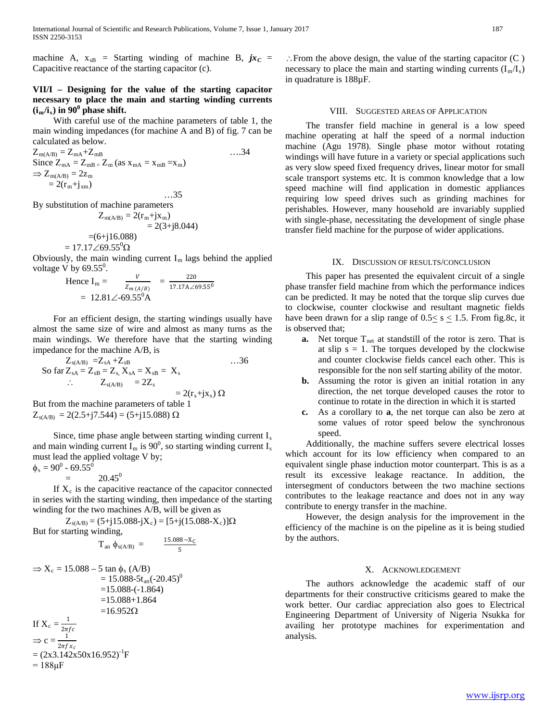machine A,  $x_{sB}$  = Starting winding of machine B,  $jx_C$  = Capacitive reactance of the starting capacitor (c).

# **VII/I – Designing for the value of the starting capacitor necessary to place the main and starting winding currents**   $(i_m/i_s)$  in 90<sup>0</sup> phase shift.

 With careful use of the machine parameters of table 1, the main winding impedances (for machine A and B) of fig. 7 can be calculated as below.

$$
Z_{m(A/B)} = Z_{mA} + Z_{mB}
$$
  
\nSince  $Z_{mA} = Z_{mB} = Z_m$  (as  $x_{mA} = x_{mB} = x_m$ )  
\n $\Rightarrow Z_{m(A/B)} = 2z_m$   
\n $= 2(r_m + j_{xm})$ ...35

By substitution of machine parameters

$$
Z_{m(A/B)} = 2(r_m + jx_m)
$$
  
= 2(3+j8.044)  
= (6+j16.088)  
= 17.17 $\angle$ 69.55<sup>o</sup>Ω

Obviously, the main winding current  $I_m$  lags behind the applied voltage V by  $69.55^0$ .

Hence I<sub>m</sub> = 
$$
\frac{V}{Z_{m(A/B)}}
$$
 =  $\frac{220}{17.17A \angle 69.55^0}$   
= 12.81 \angle -69.55<sup>0</sup>A

 For an efficient design, the starting windings usually have almost the same size of wire and almost as many turns as the main windings. We therefore have that the starting winding impedance for the machine A/B, is

$$
Z_{s(A/B)} = Z_{sA} + Z_{sB} \qquad \qquad \dots 36
$$
  
So far  $Z_{sA} = Z_{sB} = Z_s$ ,  $X_{sA} = X_{sB} = X_s$   
 $\therefore$   $Z_{s(A/B)} = 2Z_s$   
 $= 2(r_s+jx_s) \Omega$   
But from the machine parameters of table 1  
 $Z_{s(A/B)} = 2(2.5+j7.544) = (5+j15.088) \Omega$ 

Since, time phase angle between starting winding current I<sub>s</sub> and main winding current  $I_m$  is 90<sup>0</sup>, so starting winding current  $I_s$ must lead the applied voltage V by;

$$
\phi_{\rm s}=90^0 - 69.55^0
$$

$$
= 20.45^0
$$

If  $X_c$  is the capacitive reactance of the capacitor connected in series with the starting winding, then impedance of the starting winding for the two machines A/B, will be given as

 $Z_{s(AB)} = (5+j15.088-jX_c) = [5+j(15.088-X_c)]\Omega$ But for starting winding,

$$
T_{an} \; \phi_{s(A/B)} = \qquad \frac{15.088 - X_C}{5}
$$

$$
\Rightarrow X_c = 15.088 - 5 \tan \phi_s (A/B)
$$
  
= 15.088-5t<sub>an</sub>(-20.45)<sup>0</sup>  
= 15.088-(-1.864)  
= 15.088+1.864  
= 16.952 $\Omega$   
If  $X_c = \frac{1}{2\pi fc}$   
 $\Rightarrow c = \frac{1}{2\pi fx_c}$   
= (2x3.142x50x16.952)<sup>-1</sup>F  
= 188 $\mu$ F

∴From the above design, the value of the starting capacitor (C ) necessary to place the main and starting winding currents  $(I_m/I_s)$ in quadrature is 188µF.

# VIII. SUGGESTED AREAS OF APPLICATION

 The transfer field machine in general is a low speed machine operating at half the speed of a normal induction machine (Agu 1978). Single phase motor without rotating windings will have future in a variety or special applications such as very slow speed fixed frequency drives, linear motor for small scale transport systems etc. It is common knowledge that a low speed machine will find application in domestic appliances requiring low speed drives such as grinding machines for perishables. However, many household are invariably supplied with single-phase, necessitating the development of single phase transfer field machine for the purpose of wider applications.

#### IX. DISCUSSION OF RESULTS/CONCLUSION

 This paper has presented the equivalent circuit of a single phase transfer field machine from which the performance indices can be predicted. It may be noted that the torque slip curves due to clockwise, counter clockwise and resultant magnetic fields have been drawn for a slip range of  $0.5 \le s \le 1.5$ . From fig.8c, it is observed that;

- **a.** Net torque  $T_{net}$  at standstill of the rotor is zero. That is at slip  $s = 1$ . The torques developed by the clockwise and counter clockwise fields cancel each other. This is responsible for the non self starting ability of the motor.
- **b.** Assuming the rotor is given an initial rotation in any direction, the net torque developed causes the rotor to continue to rotate in the direction in which it is started
- **c.** As a corollary to **a**, the net torque can also be zero at some values of rotor speed below the synchronous speed.

 Additionally, the machine suffers severe electrical losses which account for its low efficiency when compared to an equivalent single phase induction motor counterpart. This is as a result its excessive leakage reactance. In addition, the intersegment of conductors between the two machine sections contributes to the leakage reactance and does not in any way contribute to energy transfer in the machine.

 However, the design analysis for the improvement in the efficiency of the machine is on the pipeline as it is being studied by the authors.

#### X. ACKNOWLEDGEMENT

 The authors acknowledge the academic staff of our departments for their constructive criticisms geared to make the work better. Our cardiac appreciation also goes to Electrical Engineering Department of University of Nigeria Nsukka for availing her prototype machines for experimentation and analysis.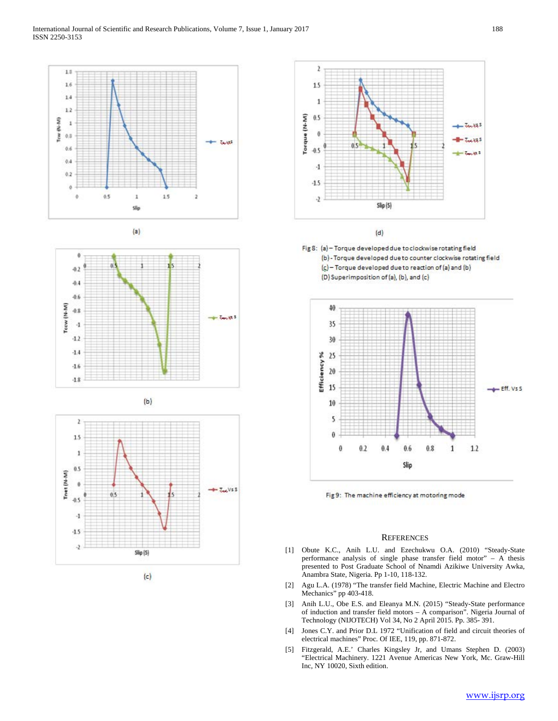



















#### **REFERENCES**

- [1] Obute K.C., Anih L.U. and Ezechukwu O.A. (2010) "Steady-State performance analysis of single phase transfer field motor" – A thesis presented to Post Graduate School of Nnamdi Azikiwe University Awka, Anambra State, Nigeria. Pp 1-10, 118-132.
- [2] Agu L.A. (1978) "The transfer field Machine, Electric Machine and Electro Mechanics" pp 403-418.
- [3] Anih L.U., Obe E.S. and Eleanya M.N. (2015) "Steady-State performance of induction and transfer field motors – A comparison". Nigeria Journal of Technology (NIJOTECH) Vol 34, No 2 April 2015. Pp. 385- 391.
- [4] Jones C.Y. and Prior D.L 1972 "Unification of field and circuit theories of electrical machines" Proc. Of IEE, 119, pp. 871-872.
- [5] Fitzgerald, A.E.' Charles Kingsley Jr, and Umans Stephen D. (2003) "Electrical Machinery. 1221 Avenue Americas New York, Mc. Graw-Hill Inc, NY 10020, Sixth edition.